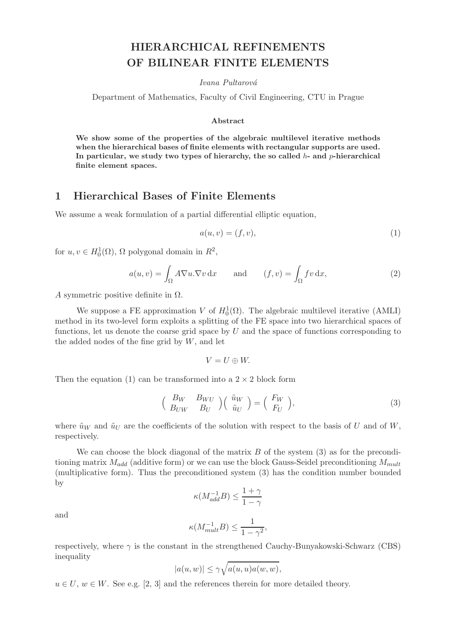# HIERARCHICAL REFINEMENTS OF BILINEAR FINITE ELEMENTS

Ivana Pultarová

Department of Mathematics, Faculty of Civil Engineering, CTU in Prague

#### Abstract

We show some of the properties of the algebraic multilevel iterative methods when the hierarchical bases of finite elements with rectangular supports are used. In particular, we study two types of hierarchy, the so called  $h$ - and  $p$ -hierarchical finite element spaces.

## 1 Hierarchical Bases of Finite Elements

We assume a weak formulation of a partial differential elliptic equation,

$$
a(u, v) = (f, v),\tag{1}
$$

for  $u, v \in H_0^1(\Omega)$ ,  $\Omega$  polygonal domain in  $R^2$ ,

$$
a(u,v) = \int_{\Omega} A \nabla u \cdot \nabla v \, \mathrm{d}x \quad \text{and} \quad (f,v) = \int_{\Omega} fv \, \mathrm{d}x,\tag{2}
$$

A symmetric positive definite in  $\Omega$ .

We suppose a FE approximation V of  $H_0^1(\Omega)$ . The algebraic multilevel iterative (AMLI) method in its two-level form exploits a splitting of the FE space into two hierarchical spaces of functions, let us denote the coarse grid space by  $U$  and the space of functions corresponding to the added nodes of the fine grid by  $W$ , and let

$$
V=U\oplus W.
$$

Then the equation (1) can be transformed into a  $2 \times 2$  block form

$$
\begin{pmatrix}\nB_W & B_{WU} \\
B_{UW} & B_U\n\end{pmatrix}\n\begin{pmatrix}\n\tilde{u}_W \\
\tilde{u}_U\n\end{pmatrix} =\n\begin{pmatrix}\nF_W \\
F_U\n\end{pmatrix},
$$
\n(3)

where  $\tilde{u}_W$  and  $\tilde{u}_U$  are the coefficients of the solution with respect to the basis of U and of W, respectively.

We can choose the block diagonal of the matrix  $B$  of the system (3) as for the preconditioning matrix  $M_{add}$  (additive form) or we can use the block Gauss-Seidel preconditioning  $M_{mult}$ (multiplicative form). Thus the preconditioned system (3) has the condition number bounded by

$$
\kappa(M_{add}^{-1}B) \le \frac{1+\gamma}{1-\gamma}
$$

and

$$
\kappa(M_{mult}^{-1}B) \le \frac{1}{1-\gamma^2},
$$

respectively, where  $\gamma$  is the constant in the strengthened Cauchy-Bunyakowski-Schwarz (CBS) inequality

$$
|a(u, w)| \le \gamma \sqrt{a(u, u)a(w, w)},
$$

 $u \in U$ ,  $w \in W$ . See e.g. [2, 3] and the references therein for more detailed theory.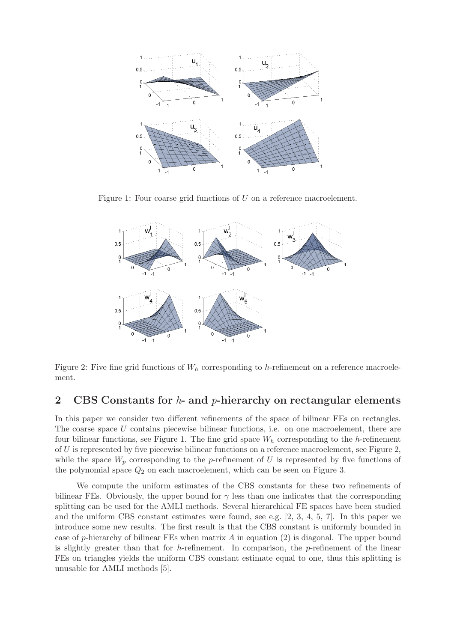

Figure 1: Four coarse grid functions of U on a reference macroelement.



Figure 2: Five fine grid functions of  $W_h$  corresponding to h-refinement on a reference macroelement.

### 2 CBS Constants for  $h$ - and  $p$ -hierarchy on rectangular elements

In this paper we consider two different refinements of the space of bilinear FEs on rectangles. The coarse space  $U$  contains piecewise bilinear functions, i.e. on one macroelement, there are four bilinear functions, see Figure 1. The fine grid space  $W<sub>h</sub>$  corresponding to the h-refinement of U is represented by five piecewise bilinear functions on a reference macroelement, see Figure 2, while the space  $W_p$  corresponding to the p-refinement of U is represented by five functions of the polynomial space  $Q_2$  on each macroelement, which can be seen on Figure 3.

We compute the uniform estimates of the CBS constants for these two refinements of bilinear FEs. Obviously, the upper bound for  $\gamma$  less than one indicates that the corresponding splitting can be used for the AMLI methods. Several hierarchical FE spaces have been studied and the uniform CBS constant estimates were found, see e.g. [2, 3, 4, 5, 7]. In this paper we introduce some new results. The first result is that the CBS constant is uniformly bounded in case of p-hierarchy of bilinear FEs when matrix  $A$  in equation  $(2)$  is diagonal. The upper bound is slightly greater than that for h-refinement. In comparison, the  $p$ -refinement of the linear FEs on triangles yields the uniform CBS constant estimate equal to one, thus this splitting is unusable for AMLI methods [5].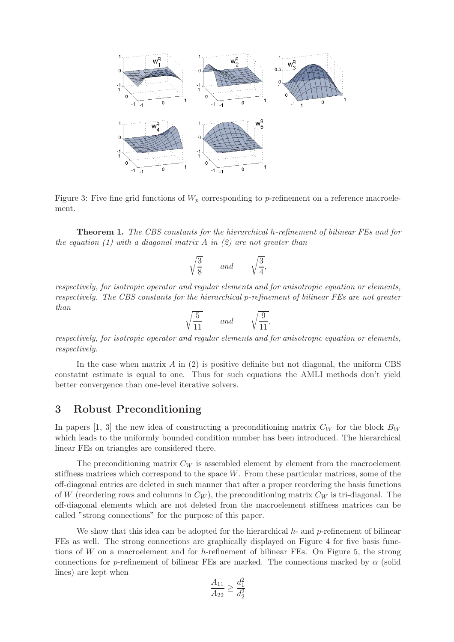

Figure 3: Five fine grid functions of  $W_p$  corresponding to p-refinement on a reference macroelement.

Theorem 1. The CBS constants for the hierarchical h-refinement of bilinear FEs and for the equation  $(1)$  with a diagonal matrix A in  $(2)$  are not greater than

$$
\sqrt{\frac{3}{8}} \qquad and \qquad \sqrt{\frac{3}{4}},
$$

respectively, for isotropic operator and regular elements and for anisotropic equation or elements, respectively. The CBS constants for the hierarchical p-refinement of bilinear FEs are not greater than

$$
\sqrt{\frac{5}{11}} \qquad and \qquad \sqrt{\frac{9}{11}},
$$

respectively, for isotropic operator and regular elements and for anisotropic equation or elements, respectively.

In the case when matrix  $A$  in (2) is positive definite but not diagonal, the uniform CBS constatnt estimate is equal to one. Thus for such equations the AMLI methods don't yield better convergence than one-level iterative solvers.

#### 3 Robust Preconditioning

In papers [1, 3] the new idea of constructing a preconditioning matrix  $C_W$  for the block  $B_W$ which leads to the uniformly bounded condition number has been introduced. The hierarchical linear FEs on triangles are considered there.

The preconditioning matrix  $C_W$  is assembled element by element from the macroelement stiffness matrices which correspond to the space  $W$ . From these particular matrices, some of the off-diagonal entries are deleted in such manner that after a proper reordering the basis functions of W (reordering rows and columns in  $C_W$ ), the preconditioning matrix  $C_W$  is tri-diagonal. The off-diagonal elements which are not deleted from the macroelement stiffness matrices can be called "strong connections" for the purpose of this paper.

We show that this idea can be adopted for the hierarchical  $h$ - and  $p$ -refinement of bilinear FEs as well. The strong connections are graphically displayed on Figure 4 for five basis functions of  $W$  on a macroelement and for h-refinement of bilinear FEs. On Figure 5, the strong connections for p-refinement of bilinear FEs are marked. The connections marked by  $\alpha$  (solid lines) are kept when

$$
\frac{A_{11}}{A_{22}} \ge \frac{d_1^2}{d_2^2}
$$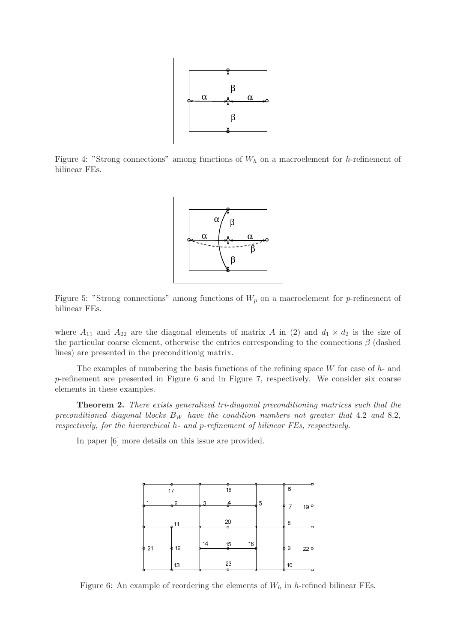

Figure 4: "Strong connections" among functions of  $W_h$  on a macroelement for h-refinement of bilinear FEs.



Figure 5: "Strong connections" among functions of  $W_p$  on a macroelement for p-refinement of bilinear FEs.

where  $A_{11}$  and  $A_{22}$  are the diagonal elements of matrix A in (2) and  $d_1 \times d_2$  is the size of the particular coarse element, otherwise the entries corresponding to the connections  $\beta$  (dashed lines) are presented in the preconditionig matrix.

The examples of numbering the basis functions of the refining space  $W$  for case of  $h$ - and p-refinement are presented in Figure 6 and in Figure 7, respectively. We consider six coarse elements in these examples.

Theorem 2. There exists generalized tri-diagonal preconditioning matrices such that the preconditioned diagonal blocks  $B_W$  have the condition numbers not greater that 4.2 and 8.2, respectively, for the hierarchical h- and p-refinement of bilinear FEs, respectively.

In paper [6] more details on this issue are provided.



Figure 6: An example of reordering the elements of  $W_h$  in h-refined bilinear FEs.